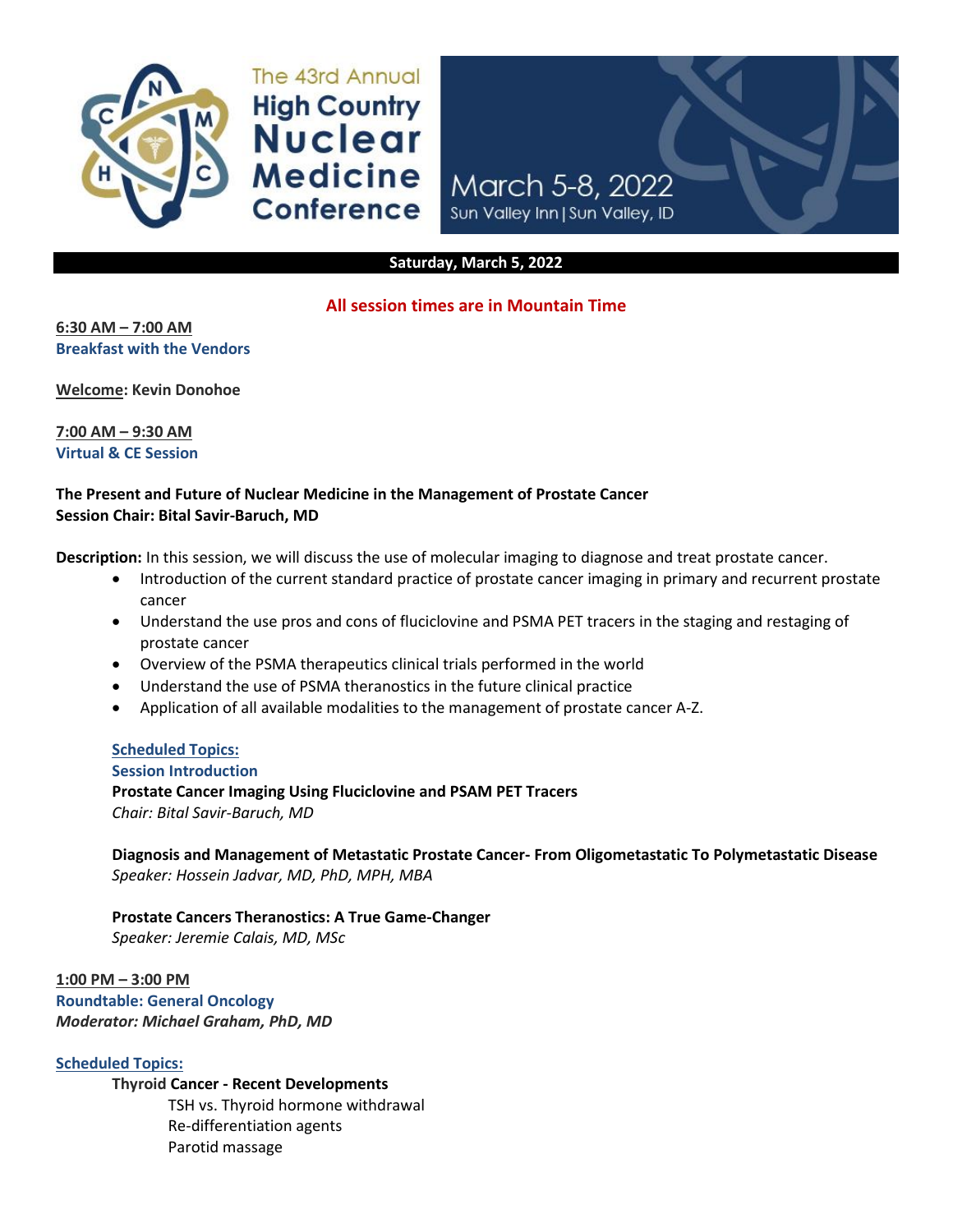

The 43rd Annual **High Country Nuclear Medicine Conference** 



#### **Saturday, March 5, 2022**

## **All session times are in Mountain Time**

**6:30 AM – 7:00 AM Breakfast with the Vendors** 

**Welcome: Kevin Donohoe**

**7:00 AM – 9:30 AM Virtual & CE Session**

## **The Present and Future of Nuclear Medicine in the Management of Prostate Cancer Session Chair: Bital Savir-Baruch, MD**

**Description:** In this session, we will discuss the use of molecular imaging to diagnose and treat prostate cancer.

- Introduction of the current standard practice of prostate cancer imaging in primary and recurrent prostate cancer
- Understand the use pros and cons of fluciclovine and PSMA PET tracers in the staging and restaging of prostate cancer
- Overview of the PSMA therapeutics clinical trials performed in the world
- Understand the use of PSMA theranostics in the future clinical practice
- Application of all available modalities to the management of prostate cancer A-Z.

## **Scheduled Topics:**

**Session Introduction**

**Prostate Cancer Imaging Using Fluciclovine and PSAM PET Tracers**

*Chair: Bital Savir-Baruch, MD*

**Diagnosis and Management of Metastatic Prostate Cancer- From Oligometastatic To Polymetastatic Disease** *Speaker: Hossein Jadvar, MD, PhD, MPH, MBA*

**Prostate Cancers Theranostics: A True Game-Changer** *Speaker: Jeremie Calais, MD, MSc*

**1:00 PM – 3:00 PM Roundtable: General Oncology** *Moderator: Michael Graham, PhD, MD*

**Scheduled Topics:**

**Thyroid Cancer - Recent Developments**  TSH vs. Thyroid hormone withdrawal Re-differentiation agents Parotid massage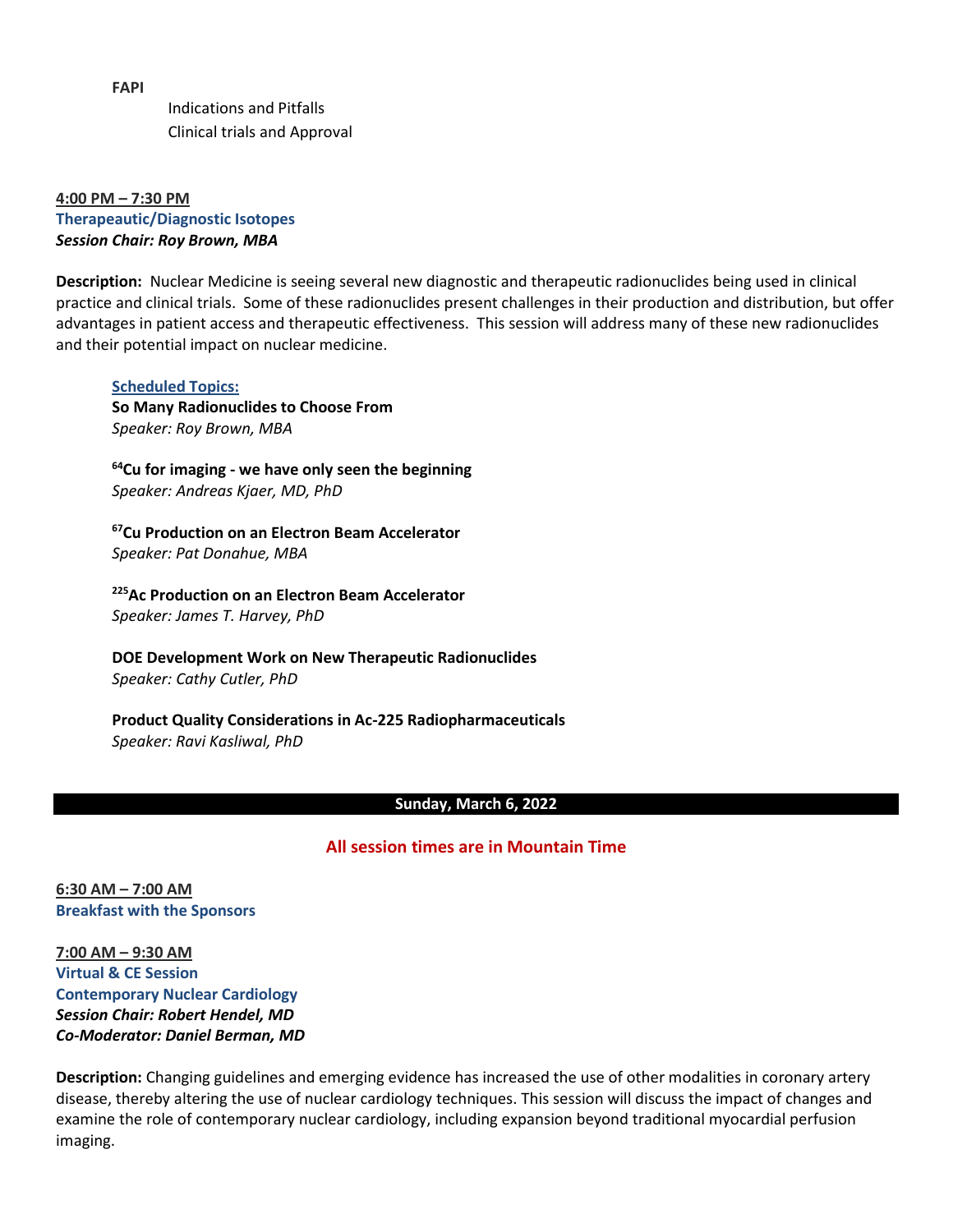**FAPI**

Indications and Pitfalls Clinical trials and Approval

**4:00 PM – 7:30 PM Therapeautic/Diagnostic Isotopes** *Session Chair: Roy Brown, MBA*

**Description:** Nuclear Medicine is seeing several new diagnostic and therapeutic radionuclides being used in clinical practice and clinical trials. Some of these radionuclides present challenges in their production and distribution, but offer advantages in patient access and therapeutic effectiveness. This session will address many of these new radionuclides and their potential impact on nuclear medicine.

**Scheduled Topics: So Many Radionuclides to Choose From**  *Speaker: Roy Brown, MBA* 

**<sup>64</sup>Cu for imaging - we have only seen the beginning** *Speaker: Andreas Kjaer, MD, PhD* 

**<sup>67</sup>Cu Production on an Electron Beam Accelerator** *Speaker: Pat Donahue, MBA* 

**<sup>225</sup>Ac Production on an Electron Beam Accelerator** *Speaker: James T. Harvey, PhD* 

**DOE Development Work on New Therapeutic Radionuclides**  *Speaker: Cathy Cutler, PhD* 

**Product Quality Considerations in Ac-225 Radiopharmaceuticals**  *Speaker: Ravi Kasliwal, PhD*

#### **Sunday, March 6, 2022**

## **All session times are in Mountain Time**

**6:30 AM – 7:00 AM Breakfast with the Sponsors**

**7:00 AM – 9:30 AM Virtual & CE Session Contemporary Nuclear Cardiology** *Session Chair: Robert Hendel, MD Co-Moderator: Daniel Berman, MD*

**Description:** Changing guidelines and emerging evidence has increased the use of other modalities in coronary artery disease, thereby altering the use of nuclear cardiology techniques. This session will discuss the impact of changes and examine the role of contemporary nuclear cardiology, including expansion beyond traditional myocardial perfusion imaging.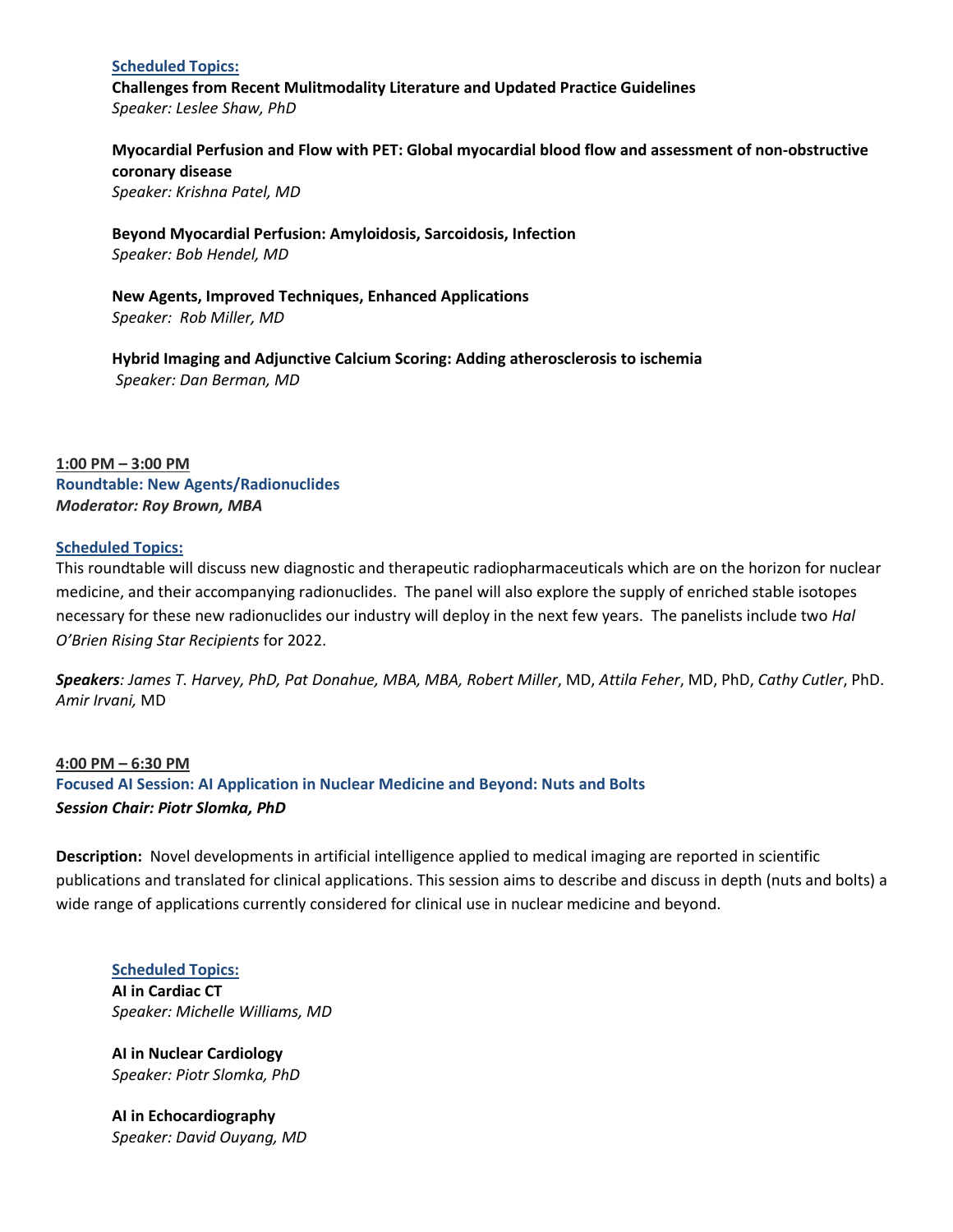#### **Scheduled Topics:**

**Challenges from Recent Mulitmodality Literature and Updated Practice Guidelines**  *Speaker: Leslee Shaw, PhD*

**Myocardial Perfusion and Flow with PET: Global myocardial blood flow and assessment of non-obstructive coronary disease** *Speaker: Krishna Patel, MD*

**Beyond Myocardial Perfusion: Amyloidosis, Sarcoidosis, Infection** *Speaker: Bob Hendel, MD*

**New Agents, Improved Techniques, Enhanced Applications** *Speaker: Rob Miller, MD*

**Hybrid Imaging and Adjunctive Calcium Scoring: Adding atherosclerosis to ischemia** *Speaker: Dan Berman, MD*

## **1:00 PM – 3:00 PM Roundtable: New Agents/Radionuclides** *Moderator: Roy Brown, MBA*

#### **Scheduled Topics:**

This roundtable will discuss new diagnostic and therapeutic radiopharmaceuticals which are on the horizon for nuclear medicine, and their accompanying radionuclides. The panel will also explore the supply of enriched stable isotopes necessary for these new radionuclides our industry will deploy in the next few years. The panelists include two *Hal O'Brien Rising Star Recipients* for 2022.

*Speakers: James T. Harvey, PhD, Pat Donahue, MBA, MBA, Robert Miller*, MD, *Attila Feher*, MD, PhD, *Cathy Cutler*, PhD. *Amir Irvani,* MD

**4:00 PM – 6:30 PM Focused AI Session: AI Application in Nuclear Medicine and Beyond: Nuts and Bolts** *Session Chair: Piotr Slomka, PhD*

**Description:** Novel developments in artificial intelligence applied to medical imaging are reported in scientific publications and translated for clinical applications. This session aims to describe and discuss in depth (nuts and bolts) a wide range of applications currently considered for clinical use in nuclear medicine and beyond.

**Scheduled Topics: AI in Cardiac CT** *Speaker: Michelle Williams, MD*

**AI in Nuclear Cardiology** *Speaker: Piotr Slomka, PhD*

**AI in Echocardiography** *Speaker: David Ouyang, MD*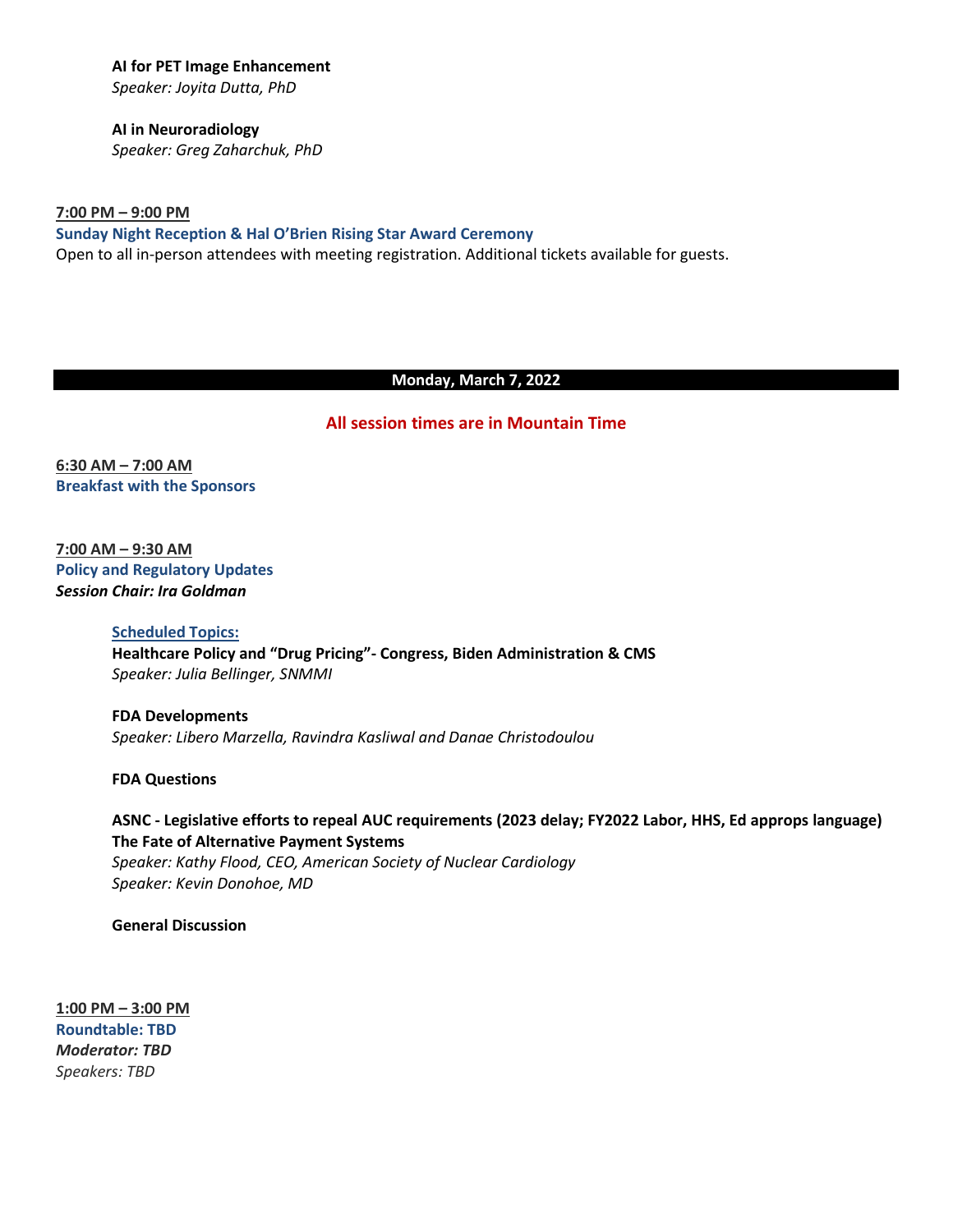**AI for PET Image Enhancement**  *Speaker: Joyita Dutta, PhD* 

**AI in Neuroradiology** *Speaker: Greg Zaharchuk, PhD* 

**7:00 PM – 9:00 PM Sunday Night Reception & Hal O'Brien Rising Star Award Ceremony** Open to all in-person attendees with meeting registration. Additional tickets available for guests.

#### **Monday, March 7, 2022**

#### **All session times are in Mountain Time**

**6:30 AM – 7:00 AM Breakfast with the Sponsors**

**7:00 AM – 9:30 AM Policy and Regulatory Updates** *Session Chair: Ira Goldman*

> **Scheduled Topics: Healthcare Policy and "Drug Pricing"- Congress, Biden Administration & CMS** *Speaker: Julia Bellinger, SNMMI*

**FDA Developments** *Speaker: Libero Marzella, Ravindra Kasliwal and Danae Christodoulou*

**FDA Questions**

**ASNC - Legislative efforts to repeal AUC requirements (2023 delay; FY2022 Labor, HHS, Ed approps language) The Fate of Alternative Payment Systems** *Speaker: Kathy Flood, CEO, American Society of Nuclear Cardiology Speaker: Kevin Donohoe, MD*

**General Discussion**

**1:00 PM – 3:00 PM Roundtable: TBD** *Moderator: TBD Speakers: TBD*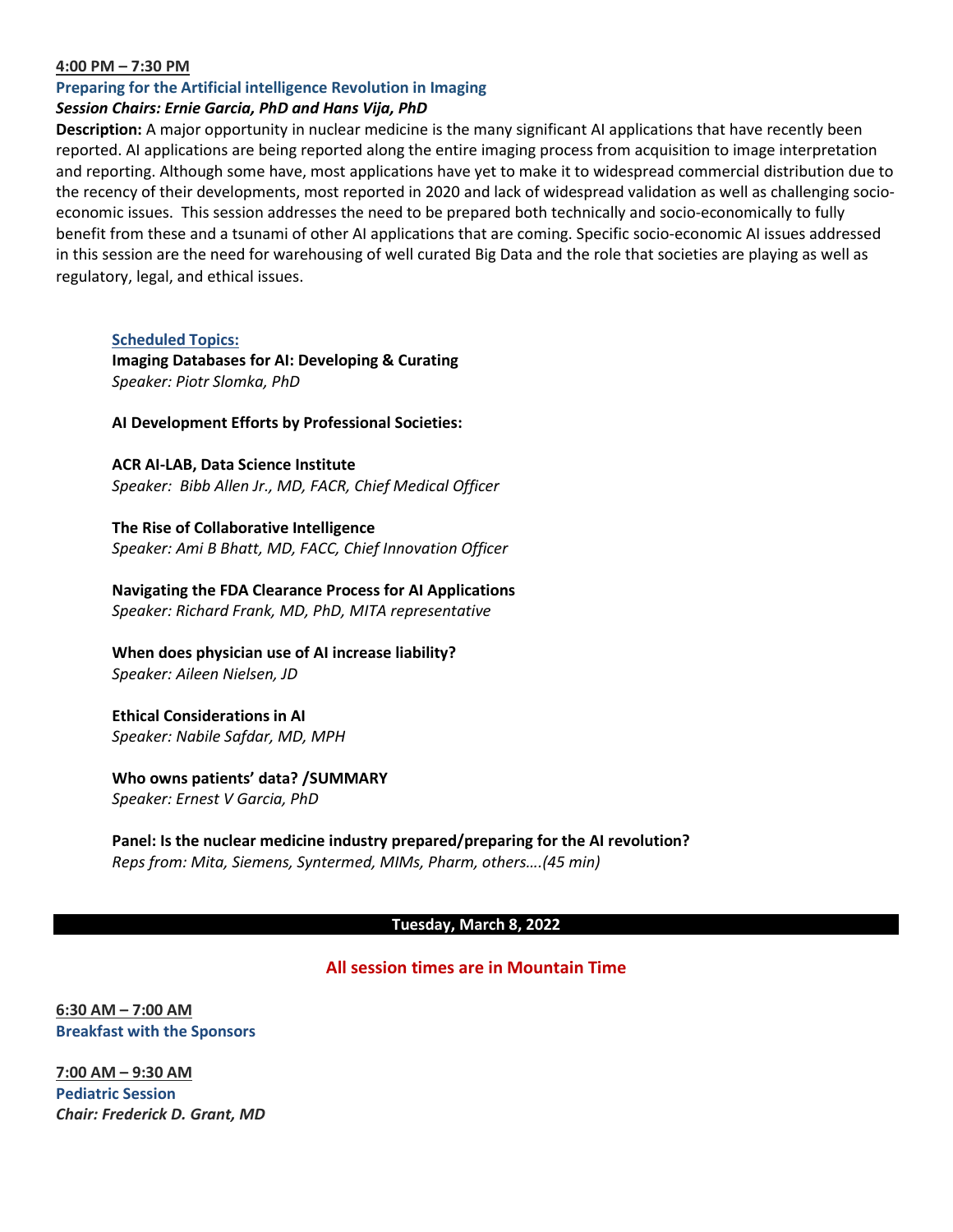#### **4:00 PM – 7:30 PM**

#### **Preparing for the Artificial intelligence Revolution in Imaging**

#### *Session Chairs: Ernie Garcia, PhD and Hans Vija, PhD*

**Description:** A major opportunity in nuclear medicine is the many significant AI applications that have recently been reported. AI applications are being reported along the entire imaging process from acquisition to image interpretation and reporting. Although some have, most applications have yet to make it to widespread commercial distribution due to the recency of their developments, most reported in 2020 and lack of widespread validation as well as challenging socioeconomic issues. This session addresses the need to be prepared both technically and socio-economically to fully benefit from these and a tsunami of other AI applications that are coming. Specific socio-economic AI issues addressed in this session are the need for warehousing of well curated Big Data and the role that societies are playing as well as regulatory, legal, and ethical issues.

**Scheduled Topics:**

**Imaging Databases for AI: Developing & Curating** *Speaker: Piotr Slomka, PhD*

#### **AI Development Efforts by Professional Societies:**

**ACR AI-LAB, Data Science Institute** *Speaker: Bibb Allen Jr., MD, FACR, Chief Medical Officer*

**The Rise of Collaborative Intelligence** *Speaker: Ami B Bhatt, MD, FACC, Chief Innovation Officer*

**Navigating the FDA Clearance Process for AI Applications** *Speaker: Richard Frank, MD, PhD, MITA representative*

**When does physician use of AI increase liability?** *Speaker: Aileen Nielsen, JD*

**Ethical Considerations in AI** *Speaker: Nabile Safdar, MD, MPH*

**Who owns patients' data? /SUMMARY** *Speaker: Ernest V Garcia, PhD*

**Panel: Is the nuclear medicine industry prepared/preparing for the AI revolution?** *Reps from: Mita, Siemens, Syntermed, MIMs, Pharm, others….(45 min)*

#### **Tuesday, March 8, 2022**

## **All session times are in Mountain Time**

**6:30 AM – 7:00 AM Breakfast with the Sponsors**

**7:00 AM – 9:30 AM Pediatric Session** *Chair: Frederick D. Grant, MD*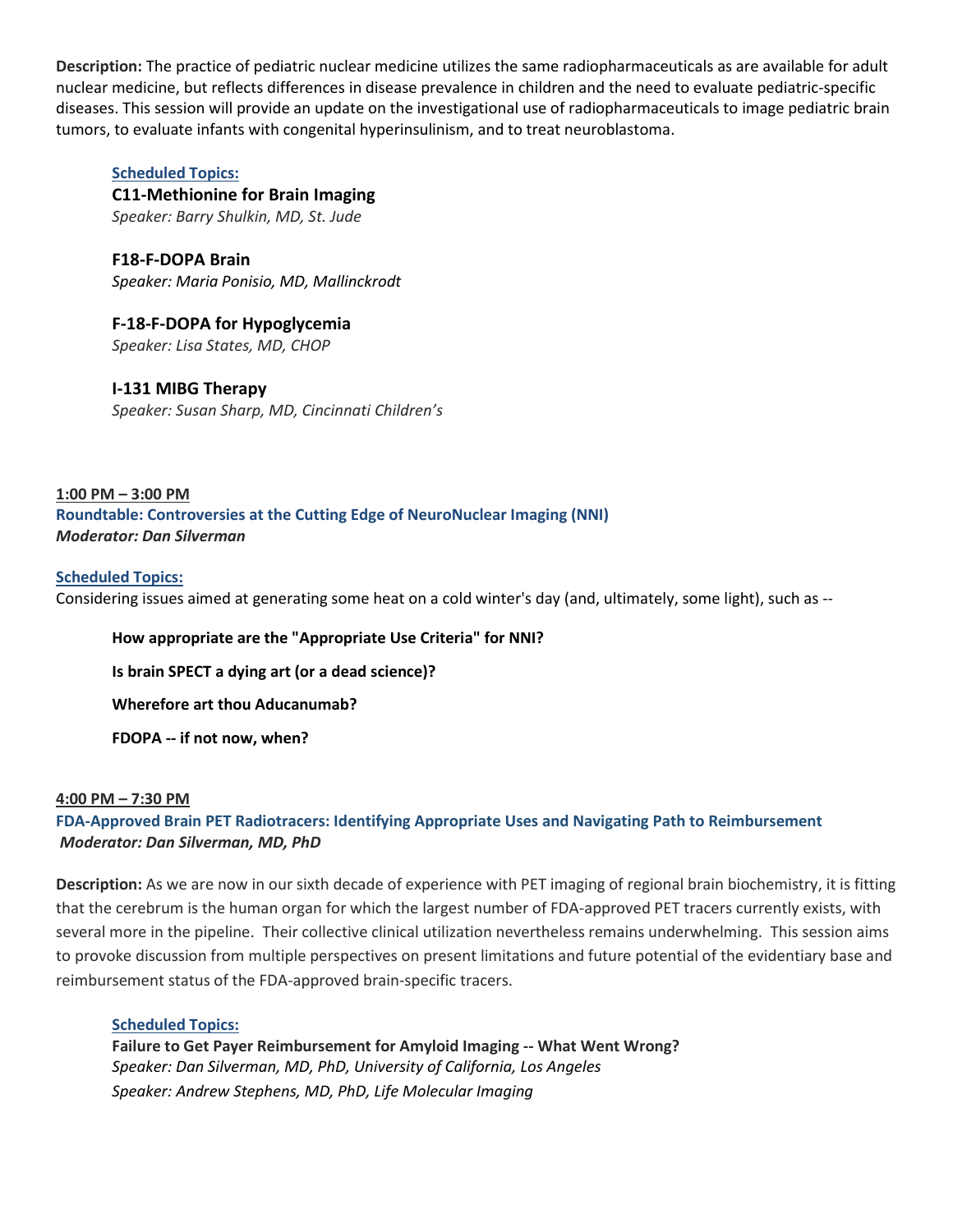**Description:** The practice of pediatric nuclear medicine utilizes the same radiopharmaceuticals as are available for adult nuclear medicine, but reflects differences in disease prevalence in children and the need to evaluate pediatric-specific diseases. This session will provide an update on the investigational use of radiopharmaceuticals to image pediatric brain tumors, to evaluate infants with congenital hyperinsulinism, and to treat neuroblastoma.

## **Scheduled Topics:**

**C11-Methionine for Brain Imaging** *Speaker: Barry Shulkin, MD, St. Jude*

**F18-F-DOPA Brain** *Speaker: Maria Ponisio, MD, Mallinckrodt*

**F-18-F-DOPA for Hypoglycemia** *Speaker: Lisa States, MD, CHOP*

## **I-131 MIBG Therapy**

*Speaker: Susan Sharp, MD, Cincinnati Children's*

**1:00 PM – 3:00 PM Roundtable: Controversies at the Cutting Edge of NeuroNuclear Imaging (NNI)** *Moderator: Dan Silverman*

#### **Scheduled Topics:**

Considering issues aimed at generating some heat on a cold winter's day (and, ultimately, some light), such as --

**How appropriate are the "Appropriate Use Criteria" for NNI?**

**Is brain SPECT a dying art (or a dead science)?**

**Wherefore art thou Aducanumab?**

**FDOPA -- if not now, when?**

#### **4:00 PM – 7:30 PM**

## **FDA-Approved Brain PET Radiotracers: Identifying Appropriate Uses and Navigating Path to Reimbursement** *Moderator: Dan Silverman, MD, PhD*

**Description:** As we are now in our sixth decade of experience with PET imaging of regional brain biochemistry, it is fitting that the cerebrum is the human organ for which the largest number of FDA-approved PET tracers currently exists, with several more in the pipeline. Their collective clinical utilization nevertheless remains underwhelming. This session aims to provoke discussion from multiple perspectives on present limitations and future potential of the evidentiary base and reimbursement status of the FDA-approved brain-specific tracers.

#### **Scheduled Topics:**

**Failure to Get Payer Reimbursement for Amyloid Imaging -- What Went Wrong?** *Speaker: Dan Silverman, MD, PhD, University of California, Los Angeles Speaker: Andrew Stephens, MD, PhD, Life Molecular Imaging*